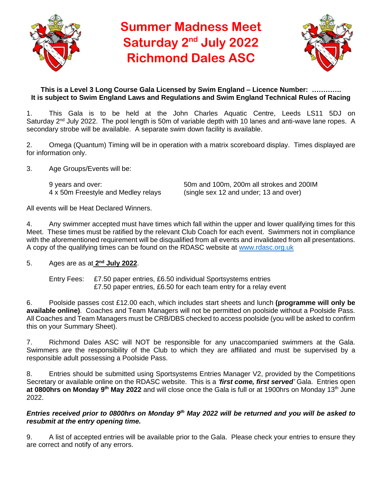

# **Summer Madness Meet Saturday 2nd July 2022 Richmond Dales ASC**



# **This is a Level 3 Long Course Gala Licensed by Swim England – Licence Number: …………. It is subject to Swim England Laws and Regulations and Swim England Technical Rules of Racing**

1. This Gala is to be held at the John Charles Aquatic Centre, Leeds LS11 5DJ on Saturday 2<sup>nd</sup> July 2022. The pool length is 50m of variable depth with 10 lanes and anti-wave lane ropes. A secondary strobe will be available. A separate swim down facility is available.

2. Omega (Quantum) Timing will be in operation with a matrix scoreboard display. Times displayed are for information only.

3. Age Groups/Events will be:

9 years and over: 50m and 100m, 200m all strokes and 200IM<br>4 x 50m Freestyle and Medley relays (single sex 12 and under; 13 and over)  $(single sex 12 and under; 13 and over)$ 

All events will be Heat Declared Winners.

4. Any swimmer accepted must have times which fall within the upper and lower qualifying times for this Meet. These times must be ratified by the relevant Club Coach for each event. Swimmers not in compliance with the aforementioned requirement will be disqualified from all events and invalidated from all presentations. A copy of the qualifying times can be found on the RDASC website at [www.rdasc.org.uk](http://www.rdasc.org.uk/)

# 5. Ages are as at **2 nd July 2022**.

Entry Fees: £7.50 paper entries, £6.50 individual Sportsystems entries £7.50 paper entries, £6.50 for each team entry for a relay event

6. Poolside passes cost £12.00 each, which includes start sheets and lunch **(programme will only be available online)**. Coaches and Team Managers will not be permitted on poolside without a Poolside Pass. All Coaches and Team Managers must be CRB/DBS checked to access poolside (you will be asked to confirm this on your Summary Sheet).

7. Richmond Dales ASC will NOT be responsible for any unaccompanied swimmers at the Gala. Swimmers are the responsibility of the Club to which they are affiliated and must be supervised by a responsible adult possessing a Poolside Pass.

8. Entries should be submitted using Sportsystems Entries Manager V2, provided by the Competitions Secretary or available online on the RDASC website. This is a *'first come, first served'* Gala. Entries open **at 0800hrs on Monday 9th May 2022** and will close once the Gala is full or at 1900hrs on Monday 13th June 2022.

### *Entries received prior to 0800hrs on Monday 9th May 2022 will be returned and you will be asked to resubmit at the entry opening time.*

9. A list of accepted entries will be available prior to the Gala. Please check your entries to ensure they are correct and notify of any errors.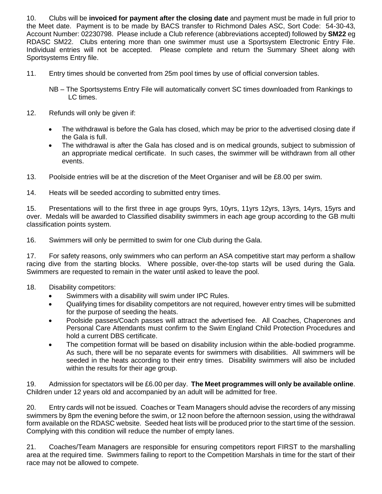10. Clubs will be **invoiced for payment after the closing date** and payment must be made in full prior to the Meet date. Payment is to be made by BACS transfer to Richmond Dales ASC, Sort Code: 54-30-43, Account Number: 02230798. Please include a Club reference (abbreviations accepted) followed by **SM22** eg RDASC SM22. Clubs entering more than one swimmer must use a Sportsystem Electronic Entry File. Individual entries will not be accepted. Please complete and return the Summary Sheet along with Sportsystems Entry file.

- 11. Entry times should be converted from 25m pool times by use of official conversion tables.
	- NB The Sportsystems Entry File will automatically convert SC times downloaded from Rankings to LC times.
- 12. Refunds will only be given if:
	- The withdrawal is before the Gala has closed, which may be prior to the advertised closing date if the Gala is full.
	- The withdrawal is after the Gala has closed and is on medical grounds, subject to submission of an appropriate medical certificate. In such cases, the swimmer will be withdrawn from all other events.
- 13. Poolside entries will be at the discretion of the Meet Organiser and will be £8.00 per swim.
- 14. Heats will be seeded according to submitted entry times.

15. Presentations will to the first three in age groups 9yrs, 10yrs, 11yrs 12yrs, 13yrs, 14yrs, 15yrs and over. Medals will be awarded to Classified disability swimmers in each age group according to the GB multi classification points system.

16. Swimmers will only be permitted to swim for one Club during the Gala.

17. For safety reasons, only swimmers who can perform an ASA competitive start may perform a shallow racing dive from the starting blocks. Where possible, over-the-top starts will be used during the Gala. Swimmers are requested to remain in the water until asked to leave the pool.

- 18. Disability competitors:
	- Swimmers with a disability will swim under IPC Rules.
	- Qualifying times for disability competitors are not required, however entry times will be submitted for the purpose of seeding the heats.
	- Poolside passes/Coach passes will attract the advertised fee. All Coaches, Chaperones and Personal Care Attendants must confirm to the Swim England Child Protection Procedures and hold a current DBS certificate.
	- The competition format will be based on disability inclusion within the able-bodied programme. As such, there will be no separate events for swimmers with disabilities. All swimmers will be seeded in the heats according to their entry times. Disability swimmers will also be included within the results for their age group.

19. Admission for spectators will be £6.00 per day. **The Meet programmes will only be available online**. Children under 12 years old and accompanied by an adult will be admitted for free.

20. Entry cards will not be issued. Coaches or Team Managers should advise the recorders of any missing swimmers by 8pm the evening before the swim, or 12 noon before the afternoon session, using the withdrawal form available on the RDASC website. Seeded heat lists will be produced prior to the start time of the session. Complying with this condition will reduce the number of empty lanes.

21. Coaches/Team Managers are responsible for ensuring competitors report FIRST to the marshalling area at the required time. Swimmers failing to report to the Competition Marshals in time for the start of their race may not be allowed to compete.